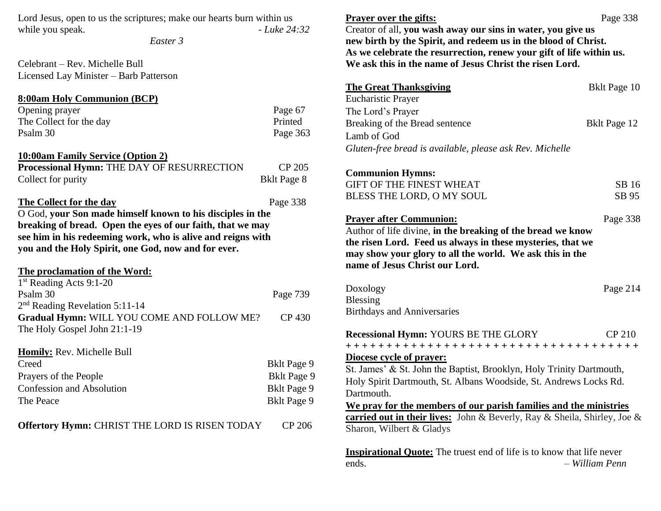| Lord Jesus, open to us the scriptures; make our hearts burn within us<br>while you speak.<br>Easter 3                                                                                                             | $-Luke 24:32$                                                                                  | <b>Prayer over the gifts:</b><br>Creator of all, you wash away our sins in water, you give us<br>new birth by the Spirit, and redeem us in the blood of Christ.<br>As we celebrate the resurrection, renew your gift of life within us.                                                                                                                          | Page 338       |
|-------------------------------------------------------------------------------------------------------------------------------------------------------------------------------------------------------------------|------------------------------------------------------------------------------------------------|------------------------------------------------------------------------------------------------------------------------------------------------------------------------------------------------------------------------------------------------------------------------------------------------------------------------------------------------------------------|----------------|
| Celebrant – Rev. Michelle Bull                                                                                                                                                                                    |                                                                                                | We ask this in the name of Jesus Christ the risen Lord.                                                                                                                                                                                                                                                                                                          |                |
| Licensed Lay Minister - Barb Patterson                                                                                                                                                                            |                                                                                                |                                                                                                                                                                                                                                                                                                                                                                  |                |
| <b>8:00am Holy Communion (BCP)</b><br>Opening prayer                                                                                                                                                              | Page 67                                                                                        | <b>The Great Thanksgiving</b><br><b>Eucharistic Prayer</b><br>The Lord's Prayer                                                                                                                                                                                                                                                                                  | Bklt Page 10   |
| The Collect for the day                                                                                                                                                                                           | Printed                                                                                        | Breaking of the Bread sentence                                                                                                                                                                                                                                                                                                                                   | Bklt Page 12   |
| Psalm 30                                                                                                                                                                                                          | Page 363                                                                                       | Lamb of God                                                                                                                                                                                                                                                                                                                                                      |                |
|                                                                                                                                                                                                                   |                                                                                                | Gluten-free bread is available, please ask Rev. Michelle                                                                                                                                                                                                                                                                                                         |                |
| <b>10:00am Family Service (Option 2)</b>                                                                                                                                                                          |                                                                                                |                                                                                                                                                                                                                                                                                                                                                                  |                |
| Processional Hymn: THE DAY OF RESURRECTION                                                                                                                                                                        | CP 205                                                                                         | <b>Communion Hymns:</b>                                                                                                                                                                                                                                                                                                                                          |                |
| Collect for purity                                                                                                                                                                                                | <b>Bklt Page 8</b>                                                                             | <b>GIFT OF THE FINEST WHEAT</b>                                                                                                                                                                                                                                                                                                                                  | SB 16          |
|                                                                                                                                                                                                                   |                                                                                                | BLESS THE LORD, O MY SOUL                                                                                                                                                                                                                                                                                                                                        | SB 95          |
| The Collect for the day<br>O God, your Son made himself known to his disciples in the                                                                                                                             | Page 338                                                                                       |                                                                                                                                                                                                                                                                                                                                                                  |                |
| breaking of bread. Open the eyes of our faith, that we may<br>see him in his redeeming work, who is alive and reigns with<br>you and the Holy Spirit, one God, now and for ever.<br>The proclamation of the Word: |                                                                                                | <b>Prayer after Communion:</b><br>Author of life divine, in the breaking of the bread we know<br>the risen Lord. Feed us always in these mysteries, that we<br>may show your glory to all the world. We ask this in the<br>name of Jesus Christ our Lord.                                                                                                        | Page 338       |
| 1 <sup>st</sup> Reading Acts 9:1-20<br>Psalm 30<br>$2nd$ Reading Revelation 5:11-14                                                                                                                               | Page 739                                                                                       | Doxology<br><b>Blessing</b><br><b>Birthdays and Anniversaries</b>                                                                                                                                                                                                                                                                                                | Page 214       |
| Gradual Hymn: WILL YOU COME AND FOLLOW ME?                                                                                                                                                                        | CP 430                                                                                         |                                                                                                                                                                                                                                                                                                                                                                  |                |
| The Holy Gospel John 21:1-19                                                                                                                                                                                      |                                                                                                | <b>Recessional Hymn: YOURS BE THE GLORY</b>                                                                                                                                                                                                                                                                                                                      | <b>CP 210</b>  |
| Homily: Rev. Michelle Bull<br>Creed<br>Prayers of the People<br><b>Confession and Absolution</b><br>The Peace<br>Offertory Hymn: CHRIST THE LORD IS RISEN TODAY                                                   | <b>Bklt Page 9</b><br><b>Bklt Page 9</b><br><b>Bklt Page 9</b><br><b>Bklt Page 9</b><br>CP 206 | Diocese cycle of prayer:<br>St. James' & St. John the Baptist, Brooklyn, Holy Trinity Dartmouth,<br>Holy Spirit Dartmouth, St. Albans Woodside, St. Andrews Locks Rd.<br>Dartmouth.<br>We pray for the members of our parish families and the ministries<br>carried out in their lives: John & Beverly, Ray & Sheila, Shirley, Joe &<br>Sharon, Wilbert & Gladys |                |
|                                                                                                                                                                                                                   |                                                                                                | <b>Inspirational Quote:</b> The truest end of life is to know that life never<br>ends.                                                                                                                                                                                                                                                                           | - William Penn |